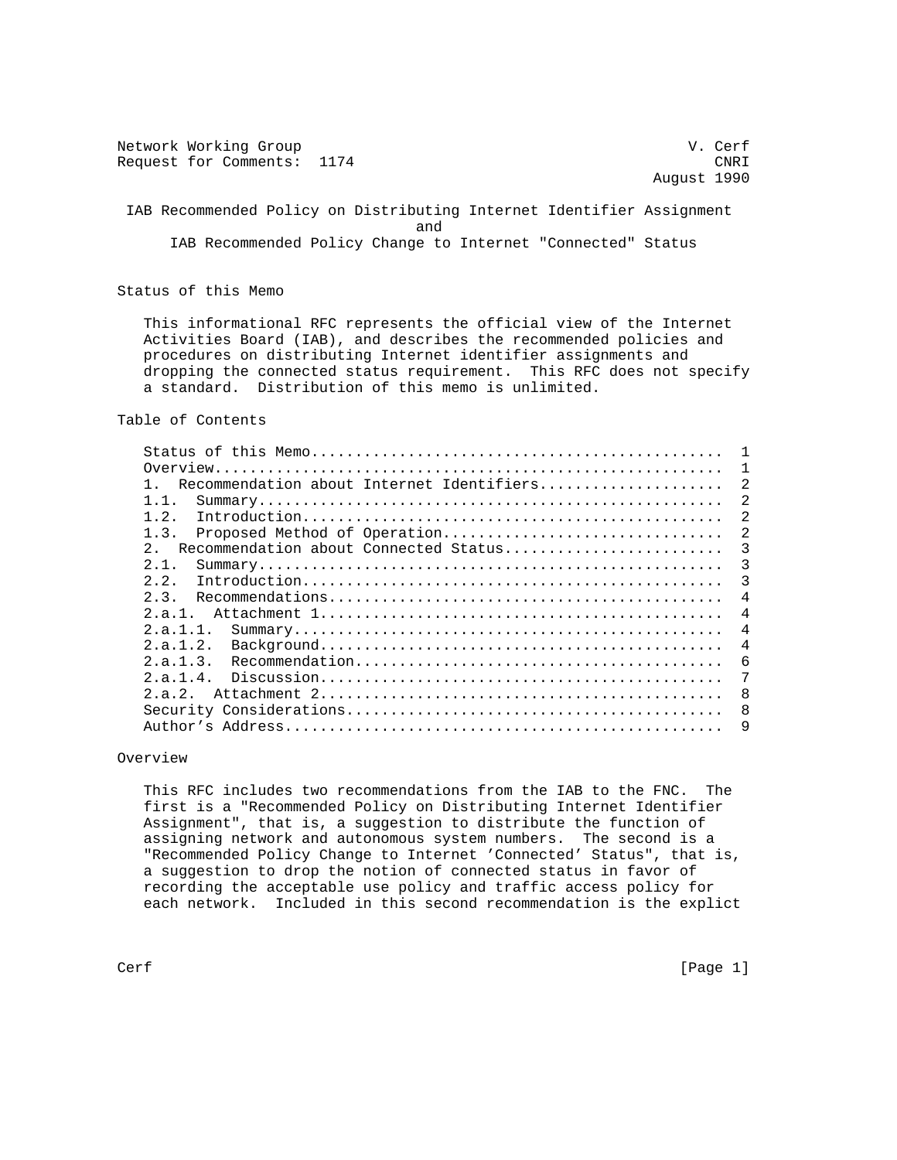Network Working Group van de verfanging van de verfanging van de verfanging van de verfanging van de verfanging van de verfanging van de verfanging van de verfanging van de verfanging van de verfanging van de verfanging va Request for Comments: 1174 CNRI August 1990 IAB Recommended Policy on Distributing Internet Identifier Assignment and the contract of the contract of the contract of the contract of the contract of the contract of the contract of the contract of the contract of the contract of the contract of the contract of the contract of the contra IAB Recommended Policy Change to Internet "Connected" Status

Status of this Memo

 This informational RFC represents the official view of the Internet Activities Board (IAB), and describes the recommended policies and procedures on distributing Internet identifier assignments and dropping the connected status requirement. This RFC does not specify a standard. Distribution of this memo is unlimited.

### Table of Contents

|                                                      | 1              |
|------------------------------------------------------|----------------|
| Recommendation about Internet Identifiers            | 2              |
| 1.1.                                                 | $\mathfrak{D}$ |
| 1.2.                                                 | 2              |
| 1.3.<br>Proposed Method of Operation                 | 2              |
| Recommendation about Connected Status<br>$2^{\circ}$ | 3              |
| 2.1.                                                 | 3              |
| 2.2.                                                 | 3              |
| 2.3.                                                 | 4              |
| 2.a.1.                                               | 4              |
| 2.a.1.1.                                             | 4              |
| 2.a.1.2.                                             | $\overline{4}$ |
| 2.a.1.3.                                             | 6              |
| 2.a.1.4.                                             | 7              |
| 2.9.2.                                               | 8              |
|                                                      | 8              |
|                                                      | 9              |
|                                                      |                |

### Overview

 This RFC includes two recommendations from the IAB to the FNC. The first is a "Recommended Policy on Distributing Internet Identifier Assignment", that is, a suggestion to distribute the function of assigning network and autonomous system numbers. The second is a "Recommended Policy Change to Internet 'Connected' Status", that is, a suggestion to drop the notion of connected status in favor of recording the acceptable use policy and traffic access policy for each network. Included in this second recommendation is the explict

Cerf [Page 1]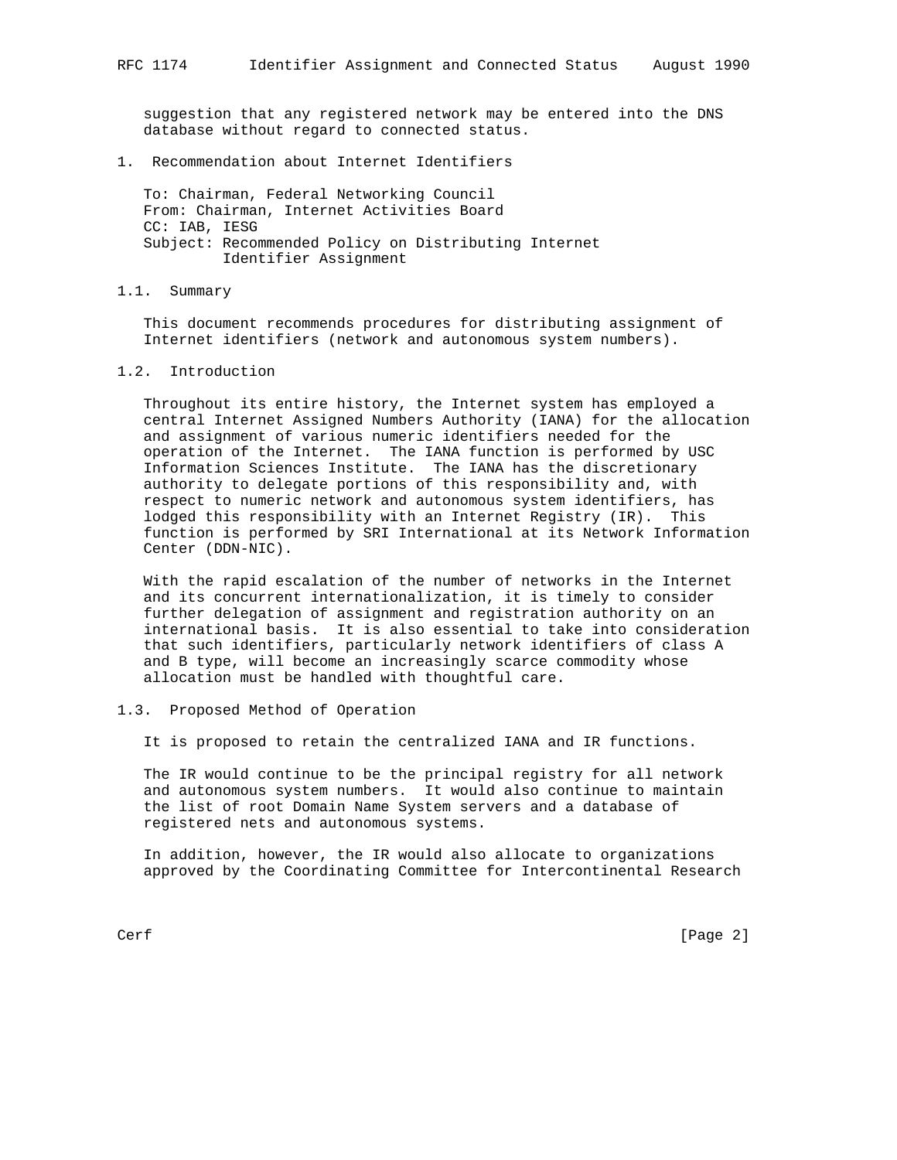suggestion that any registered network may be entered into the DNS database without regard to connected status.

1. Recommendation about Internet Identifiers

 To: Chairman, Federal Networking Council From: Chairman, Internet Activities Board CC: IAB, IESG Subject: Recommended Policy on Distributing Internet Identifier Assignment

1.1. Summary

 This document recommends procedures for distributing assignment of Internet identifiers (network and autonomous system numbers).

1.2. Introduction

 Throughout its entire history, the Internet system has employed a central Internet Assigned Numbers Authority (IANA) for the allocation and assignment of various numeric identifiers needed for the operation of the Internet. The IANA function is performed by USC Information Sciences Institute. The IANA has the discretionary authority to delegate portions of this responsibility and, with respect to numeric network and autonomous system identifiers, has lodged this responsibility with an Internet Registry (IR). This function is performed by SRI International at its Network Information Center (DDN-NIC).

 With the rapid escalation of the number of networks in the Internet and its concurrent internationalization, it is timely to consider further delegation of assignment and registration authority on an international basis. It is also essential to take into consideration that such identifiers, particularly network identifiers of class A and B type, will become an increasingly scarce commodity whose allocation must be handled with thoughtful care.

### 1.3. Proposed Method of Operation

It is proposed to retain the centralized IANA and IR functions.

 The IR would continue to be the principal registry for all network and autonomous system numbers. It would also continue to maintain the list of root Domain Name System servers and a database of registered nets and autonomous systems.

 In addition, however, the IR would also allocate to organizations approved by the Coordinating Committee for Intercontinental Research

Cerf [Page 2]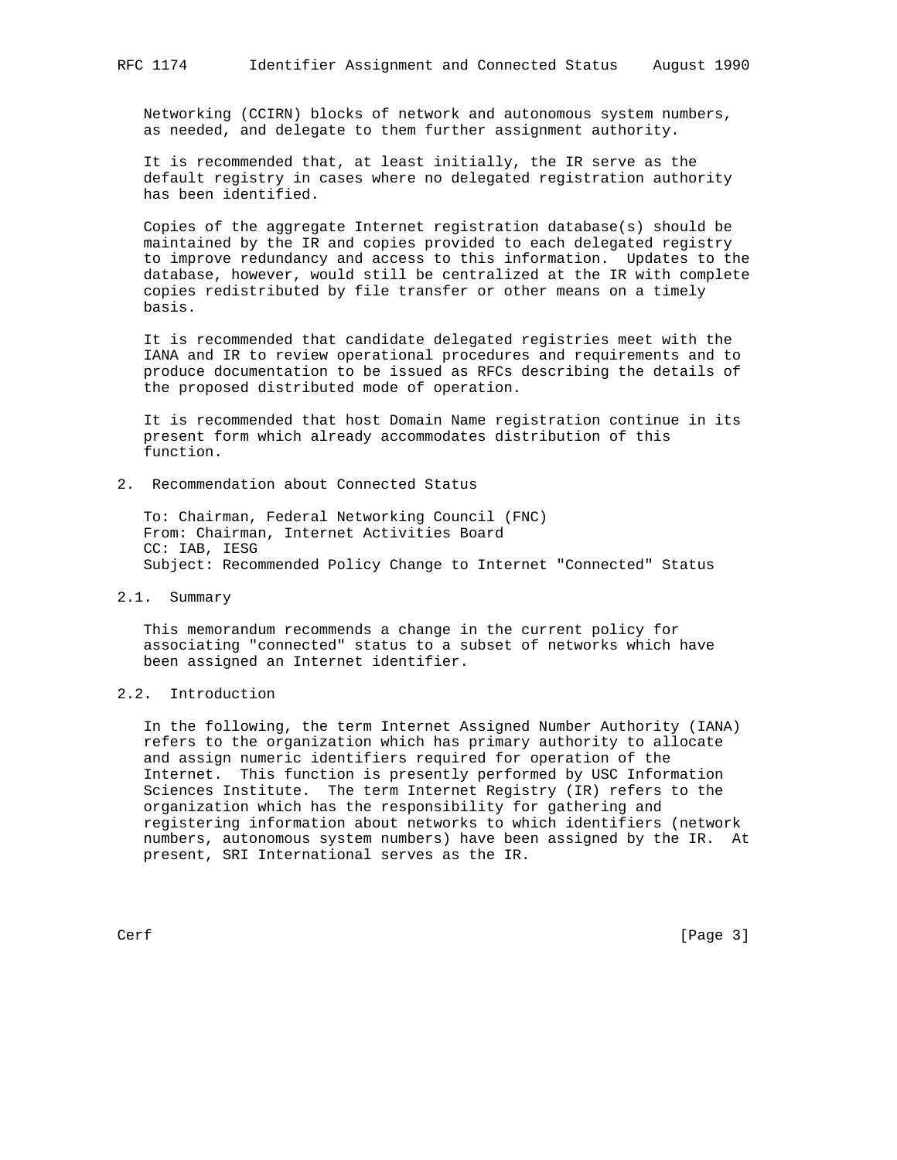Networking (CCIRN) blocks of network and autonomous system numbers, as needed, and delegate to them further assignment authority.

 It is recommended that, at least initially, the IR serve as the default registry in cases where no delegated registration authority has been identified.

 Copies of the aggregate Internet registration database(s) should be maintained by the IR and copies provided to each delegated registry to improve redundancy and access to this information. Updates to the database, however, would still be centralized at the IR with complete copies redistributed by file transfer or other means on a timely basis.

 It is recommended that candidate delegated registries meet with the IANA and IR to review operational procedures and requirements and to produce documentation to be issued as RFCs describing the details of the proposed distributed mode of operation.

 It is recommended that host Domain Name registration continue in its present form which already accommodates distribution of this function.

2. Recommendation about Connected Status

 To: Chairman, Federal Networking Council (FNC) From: Chairman, Internet Activities Board CC: IAB, IESG Subject: Recommended Policy Change to Internet "Connected" Status

#### 2.1. Summary

 This memorandum recommends a change in the current policy for associating "connected" status to a subset of networks which have been assigned an Internet identifier.

# 2.2. Introduction

 In the following, the term Internet Assigned Number Authority (IANA) refers to the organization which has primary authority to allocate and assign numeric identifiers required for operation of the Internet. This function is presently performed by USC Information Sciences Institute. The term Internet Registry (IR) refers to the organization which has the responsibility for gathering and registering information about networks to which identifiers (network numbers, autonomous system numbers) have been assigned by the IR. At present, SRI International serves as the IR.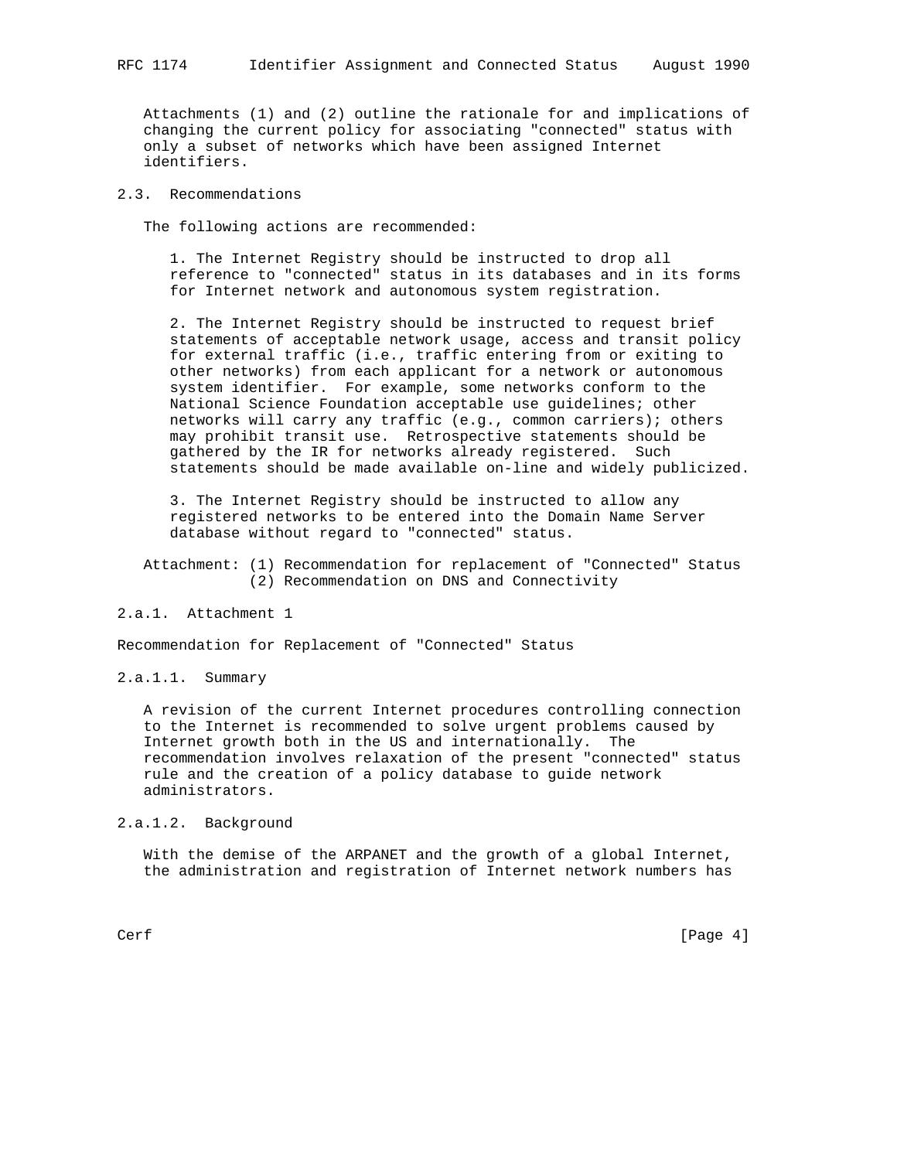Attachments (1) and (2) outline the rationale for and implications of changing the current policy for associating "connected" status with only a subset of networks which have been assigned Internet identifiers.

# 2.3. Recommendations

The following actions are recommended:

 1. The Internet Registry should be instructed to drop all reference to "connected" status in its databases and in its forms for Internet network and autonomous system registration.

 2. The Internet Registry should be instructed to request brief statements of acceptable network usage, access and transit policy for external traffic (i.e., traffic entering from or exiting to other networks) from each applicant for a network or autonomous system identifier. For example, some networks conform to the National Science Foundation acceptable use guidelines; other networks will carry any traffic (e.g., common carriers); others may prohibit transit use. Retrospective statements should be gathered by the IR for networks already registered. Such statements should be made available on-line and widely publicized.

 3. The Internet Registry should be instructed to allow any registered networks to be entered into the Domain Name Server database without regard to "connected" status.

 Attachment: (1) Recommendation for replacement of "Connected" Status (2) Recommendation on DNS and Connectivity

### 2.a.1. Attachment 1

Recommendation for Replacement of "Connected" Status

2.a.1.1. Summary

 A revision of the current Internet procedures controlling connection to the Internet is recommended to solve urgent problems caused by Internet growth both in the US and internationally. The recommendation involves relaxation of the present "connected" status rule and the creation of a policy database to guide network administrators.

# 2.a.1.2. Background

 With the demise of the ARPANET and the growth of a global Internet, the administration and registration of Internet network numbers has

Cerf [Page 4]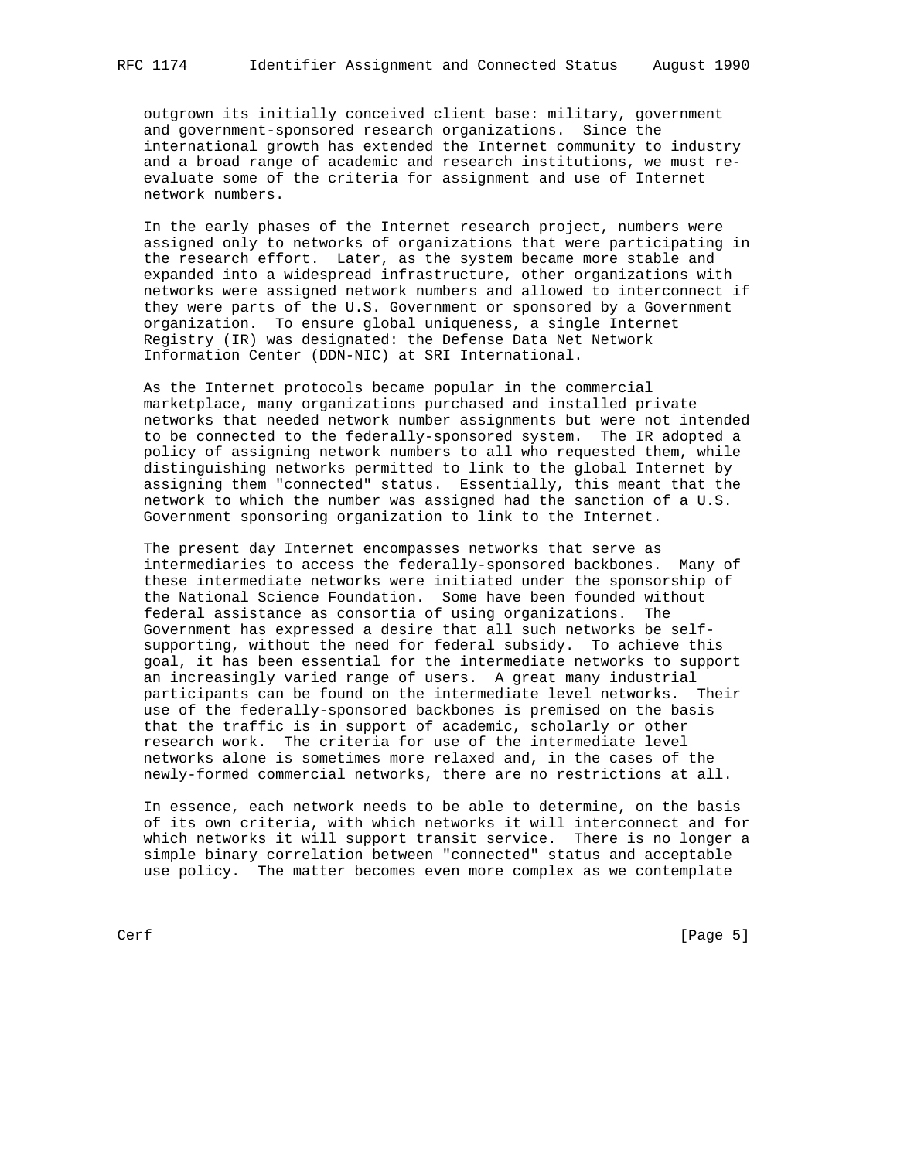outgrown its initially conceived client base: military, government and government-sponsored research organizations. Since the international growth has extended the Internet community to industry and a broad range of academic and research institutions, we must re evaluate some of the criteria for assignment and use of Internet network numbers.

 In the early phases of the Internet research project, numbers were assigned only to networks of organizations that were participating in the research effort. Later, as the system became more stable and expanded into a widespread infrastructure, other organizations with networks were assigned network numbers and allowed to interconnect if they were parts of the U.S. Government or sponsored by a Government organization. To ensure global uniqueness, a single Internet Registry (IR) was designated: the Defense Data Net Network Information Center (DDN-NIC) at SRI International.

 As the Internet protocols became popular in the commercial marketplace, many organizations purchased and installed private networks that needed network number assignments but were not intended to be connected to the federally-sponsored system. The IR adopted a policy of assigning network numbers to all who requested them, while distinguishing networks permitted to link to the global Internet by assigning them "connected" status. Essentially, this meant that the network to which the number was assigned had the sanction of a U.S. Government sponsoring organization to link to the Internet.

 The present day Internet encompasses networks that serve as intermediaries to access the federally-sponsored backbones. Many of these intermediate networks were initiated under the sponsorship of the National Science Foundation. Some have been founded without federal assistance as consortia of using organizations. The Government has expressed a desire that all such networks be self supporting, without the need for federal subsidy. To achieve this goal, it has been essential for the intermediate networks to support an increasingly varied range of users. A great many industrial participants can be found on the intermediate level networks. Their use of the federally-sponsored backbones is premised on the basis that the traffic is in support of academic, scholarly or other research work. The criteria for use of the intermediate level networks alone is sometimes more relaxed and, in the cases of the newly-formed commercial networks, there are no restrictions at all.

 In essence, each network needs to be able to determine, on the basis of its own criteria, with which networks it will interconnect and for which networks it will support transit service. There is no longer a simple binary correlation between "connected" status and acceptable use policy. The matter becomes even more complex as we contemplate

Cerf [Page 5]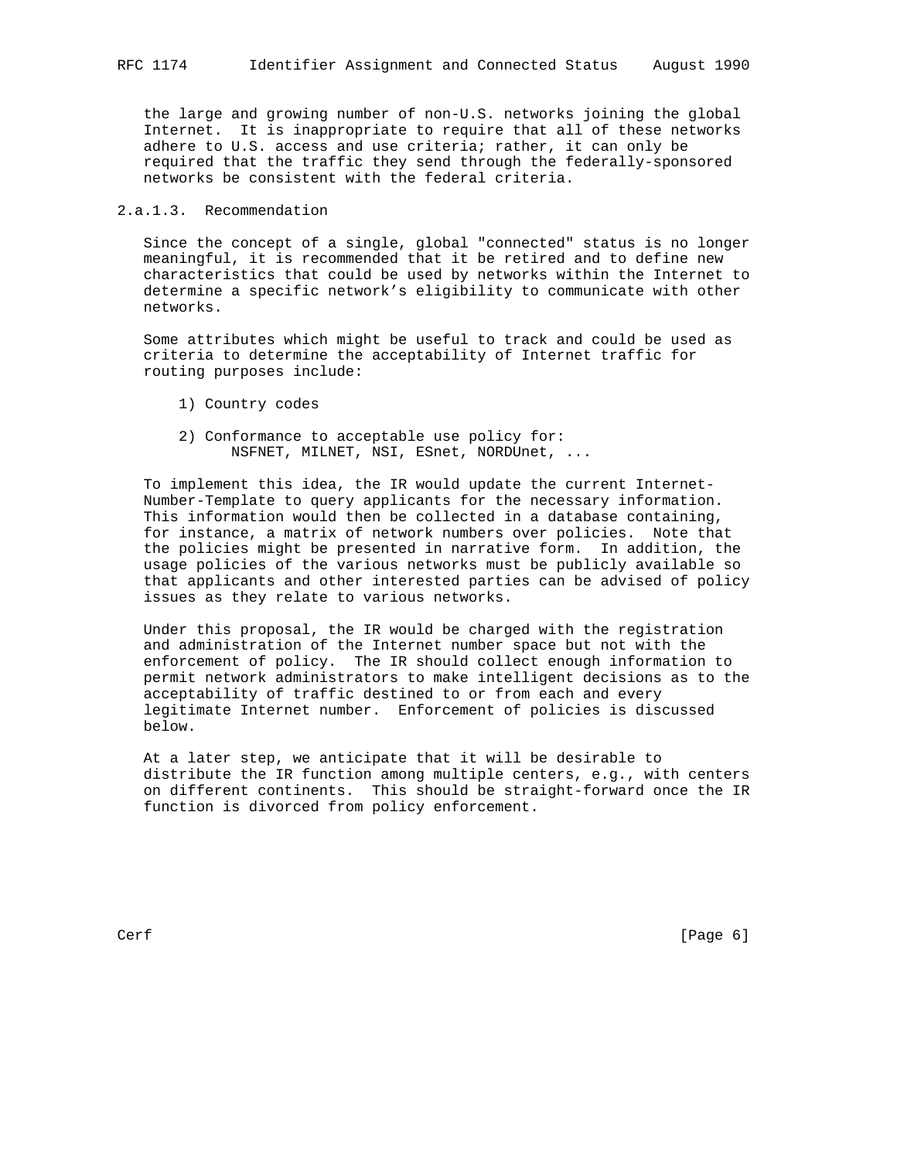the large and growing number of non-U.S. networks joining the global Internet. It is inappropriate to require that all of these networks adhere to U.S. access and use criteria; rather, it can only be required that the traffic they send through the federally-sponsored networks be consistent with the federal criteria.

### 2.a.1.3. Recommendation

 Since the concept of a single, global "connected" status is no longer meaningful, it is recommended that it be retired and to define new characteristics that could be used by networks within the Internet to determine a specific network's eligibility to communicate with other networks.

 Some attributes which might be useful to track and could be used as criteria to determine the acceptability of Internet traffic for routing purposes include:

- 1) Country codes
- 2) Conformance to acceptable use policy for: NSFNET, MILNET, NSI, ESnet, NORDUnet, ...

 To implement this idea, the IR would update the current Internet- Number-Template to query applicants for the necessary information. This information would then be collected in a database containing, for instance, a matrix of network numbers over policies. Note that the policies might be presented in narrative form. In addition, the usage policies of the various networks must be publicly available so that applicants and other interested parties can be advised of policy issues as they relate to various networks.

 Under this proposal, the IR would be charged with the registration and administration of the Internet number space but not with the enforcement of policy. The IR should collect enough information to permit network administrators to make intelligent decisions as to the acceptability of traffic destined to or from each and every legitimate Internet number. Enforcement of policies is discussed below.

 At a later step, we anticipate that it will be desirable to distribute the IR function among multiple centers, e.g., with centers on different continents. This should be straight-forward once the IR function is divorced from policy enforcement.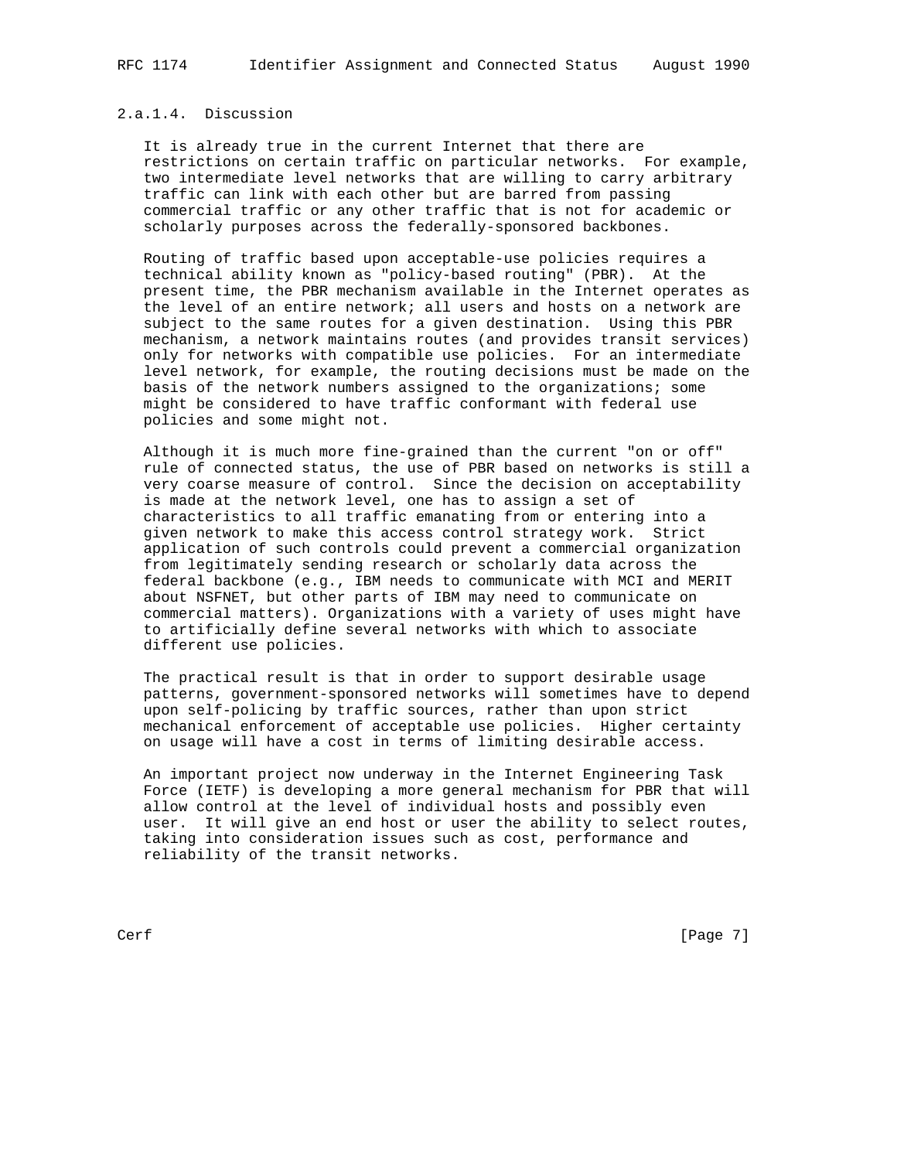# 2.a.1.4. Discussion

 It is already true in the current Internet that there are restrictions on certain traffic on particular networks. For example, two intermediate level networks that are willing to carry arbitrary traffic can link with each other but are barred from passing commercial traffic or any other traffic that is not for academic or scholarly purposes across the federally-sponsored backbones.

 Routing of traffic based upon acceptable-use policies requires a technical ability known as "policy-based routing" (PBR). At the present time, the PBR mechanism available in the Internet operates as the level of an entire network; all users and hosts on a network are subject to the same routes for a given destination. Using this PBR mechanism, a network maintains routes (and provides transit services) only for networks with compatible use policies. For an intermediate level network, for example, the routing decisions must be made on the basis of the network numbers assigned to the organizations; some might be considered to have traffic conformant with federal use policies and some might not.

 Although it is much more fine-grained than the current "on or off" rule of connected status, the use of PBR based on networks is still a very coarse measure of control. Since the decision on acceptability is made at the network level, one has to assign a set of characteristics to all traffic emanating from or entering into a given network to make this access control strategy work. Strict application of such controls could prevent a commercial organization from legitimately sending research or scholarly data across the federal backbone (e.g., IBM needs to communicate with MCI and MERIT about NSFNET, but other parts of IBM may need to communicate on commercial matters). Organizations with a variety of uses might have to artificially define several networks with which to associate different use policies.

 The practical result is that in order to support desirable usage patterns, government-sponsored networks will sometimes have to depend upon self-policing by traffic sources, rather than upon strict mechanical enforcement of acceptable use policies. Higher certainty on usage will have a cost in terms of limiting desirable access.

 An important project now underway in the Internet Engineering Task Force (IETF) is developing a more general mechanism for PBR that will allow control at the level of individual hosts and possibly even user. It will give an end host or user the ability to select routes, taking into consideration issues such as cost, performance and reliability of the transit networks.

Cerf [Page 7]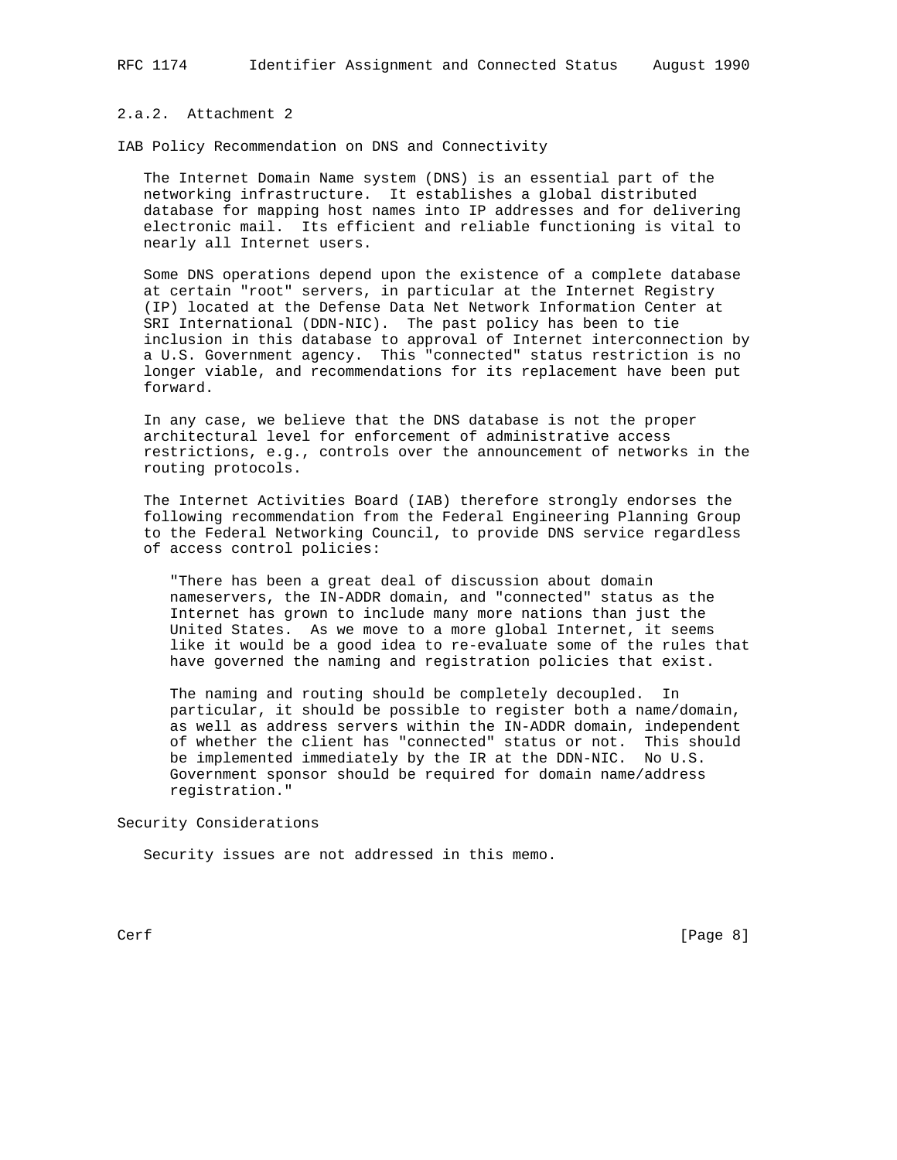# 2.a.2. Attachment 2

IAB Policy Recommendation on DNS and Connectivity

 The Internet Domain Name system (DNS) is an essential part of the networking infrastructure. It establishes a global distributed database for mapping host names into IP addresses and for delivering electronic mail. Its efficient and reliable functioning is vital to nearly all Internet users.

 Some DNS operations depend upon the existence of a complete database at certain "root" servers, in particular at the Internet Registry (IP) located at the Defense Data Net Network Information Center at SRI International (DDN-NIC). The past policy has been to tie inclusion in this database to approval of Internet interconnection by a U.S. Government agency. This "connected" status restriction is no longer viable, and recommendations for its replacement have been put forward.

 In any case, we believe that the DNS database is not the proper architectural level for enforcement of administrative access restrictions, e.g., controls over the announcement of networks in the routing protocols.

 The Internet Activities Board (IAB) therefore strongly endorses the following recommendation from the Federal Engineering Planning Group to the Federal Networking Council, to provide DNS service regardless of access control policies:

 "There has been a great deal of discussion about domain nameservers, the IN-ADDR domain, and "connected" status as the Internet has grown to include many more nations than just the United States. As we move to a more global Internet, it seems like it would be a good idea to re-evaluate some of the rules that have governed the naming and registration policies that exist.

 The naming and routing should be completely decoupled. In particular, it should be possible to register both a name/domain, as well as address servers within the IN-ADDR domain, independent of whether the client has "connected" status or not. This should be implemented immediately by the IR at the DDN-NIC. No U.S. Government sponsor should be required for domain name/address registration."

Security Considerations

Security issues are not addressed in this memo.

Cerf [Page 8]